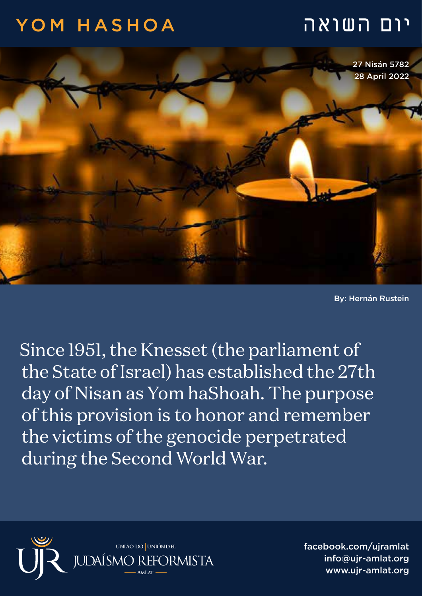## יום השואה HASHOA YOM



By: Hernán Rustein

Since 1951, the Knesset (the parliament of the State of Israel) has established the 27th day of Nisan as Yom haShoah. The purpose of this provision is to honor and remember the victims of the genocide perpetrated during the Second World War.



facebook.com/ujramlat info@ujr-amlat.org www.uir-amlat.org () المسابعة info@ujr-amlat.org<br>- السياسي المسابقة بين المسابقة بين المسابقة بين المسابقة بين المسابقة بين المسابقة بين المسابقة بين<br>المسابقة بين المسابقة بين المسابقة بين المسابقة بين المسابقة بين المساب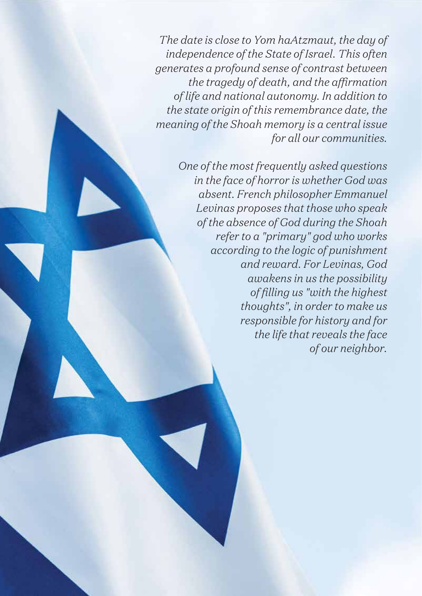*The date is close to Yom haAtzmaut, the day of independence of the State of Israel. This often generates a profound sense of contrast between the tragedy of death, and the affirmation of life and national autonomy. In addition to the state origin of this remembrance date, the meaning of the Shoah memory is a central issue for all our communities.*

> *One of the most frequently asked questions in the face of horror is whether God was absent. French philosopher Emmanuel Levinas proposes that those who speak of the absence of God during the Shoah refer to a "primary" god who works according to the logic of punishment and reward. For Levinas, God awakens in us the possibility of filling us "with the highest thoughts", in order to make us responsible for history and for the life that reveals the face of our neighbor.*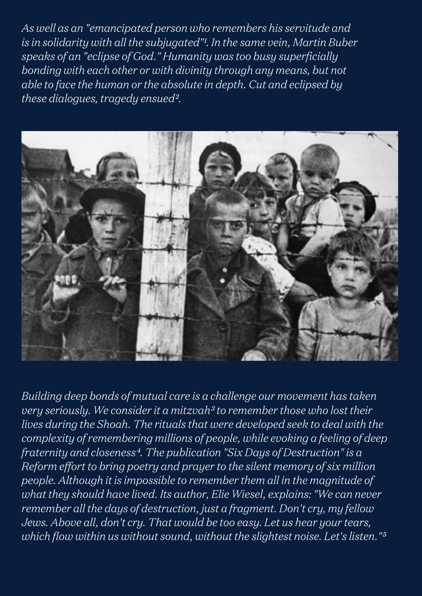*As well as an "emancipated person who remembers his servitude and*  is in solidarity with all the subjugated"<sup>1</sup>. In the same vein, Martin Buber *speaks of an "eclipse of God." Humanity was too busy superficially bonding with each other or with divinity through any means, but not able to face the human or the absolute in depth. Cut and eclipsed by these dialogues, tragedy ensued².*



*Building deep bonds of mutual care is a challenge our movement has taken very seriously. We consider it a mitzvah³ to remember those who lost their lives during the Shoah. The rituals that were developed seek to deal with the complexity of remembering millions of people, while evoking a feeling of deep fraternity and closeness⁴. The publication "Six Days of Destruction" is a Reform effort to bring poetry and prayer to the silent memory of six million people. Although it is impossible to remember them all in the magnitude of what they should have lived. Its author, Elie Wiesel, explains: "We can never remember all the days of destruction, just a fragment. Don't cry, my fellow Jews. Above all, don't cry. That would be too easy. Let us hear your tears,*  which flow within us without sound, without the slightest noise. Let's listen."<sup>5</sup>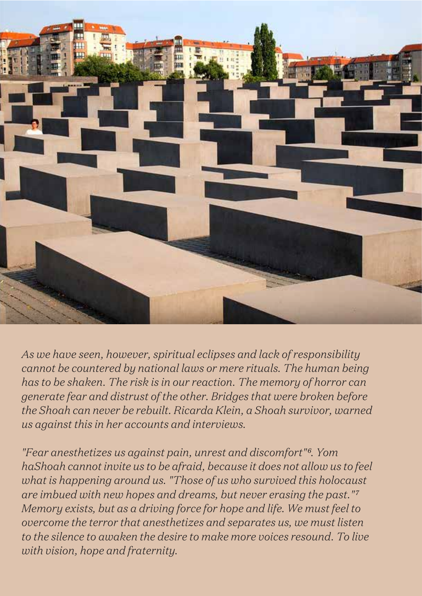

*As we have seen, however, spiritual eclipses and lack of responsibility cannot be countered by national laws or mere rituals. The human being has to be shaken. The risk is in our reaction. The memory of horror can generate fear and distrust of the other. Bridges that were broken before the Shoah can never be rebuilt. Ricarda Klein, a Shoah survivor, warned us against this in her accounts and interviews.* 

*"Fear anesthetizes us against pain, unrest and discomfort"⁶. Yom haShoah cannot invite us to be afraid, because it does not allow us to feel what is happening around us. "Those of us who survived this holocaust are imbued with new hopes and dreams, but never erasing the past."⁷ Memory exists, but as a driving force for hope and life. We must feel to overcome the terror that anesthetizes and separates us, we must listen to the silence to awaken the desire to make more voices resound. To live with vision, hope and fraternity.*